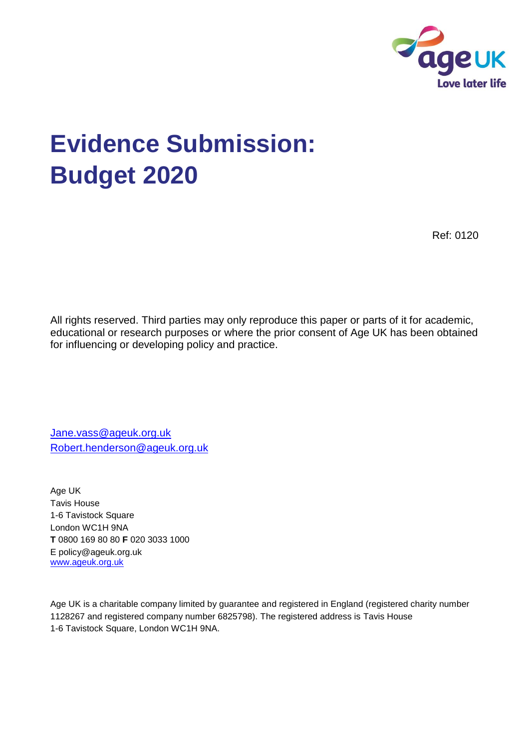

# **Evidence Submission: Budget 2020**

Ref: 0120

All rights reserved. Third parties may only reproduce this paper or parts of it for academic, educational or research purposes or where the prior consent of Age UK has been obtained for influencing or developing policy and practice.

[Jane.vass@ageuk.org.uk](mailto:Jane.vass@ageuk.org.uk) [Robert.henderson@ageuk.org.uk](mailto:Robert.henderson@ageuk.org.uk)

Age UK Tavis House 1-6 Tavistock Square London WC1H 9NA **T** 0800 169 80 80 **F** 020 3033 1000 E policy@ageuk.org.uk [www.ageuk.org.uk](http://www.ageuk.org.uk/)

Age UK is a charitable company limited by guarantee and registered in England (registered charity number 1128267 and registered company number 6825798). The registered address is Tavis House 1-6 Tavistock Square, London WC1H 9NA.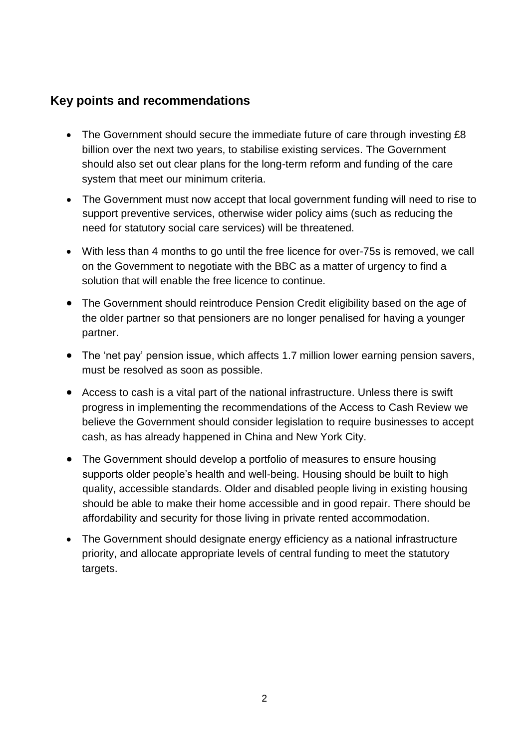## **Key points and recommendations**

- The Government should secure the immediate future of care through investing £8 billion over the next two years, to stabilise existing services. The Government should also set out clear plans for the long-term reform and funding of the care system that meet our minimum criteria.
- The Government must now accept that local government funding will need to rise to support preventive services, otherwise wider policy aims (such as reducing the need for statutory social care services) will be threatened.
- With less than 4 months to go until the free licence for over-75s is removed, we call on the Government to negotiate with the BBC as a matter of urgency to find a solution that will enable the free licence to continue.
- The Government should reintroduce Pension Credit eligibility based on the age of the older partner so that pensioners are no longer penalised for having a younger partner.
- The 'net pay' pension issue, which affects 1.7 million lower earning pension savers, must be resolved as soon as possible.
- Access to cash is a vital part of the national infrastructure. Unless there is swift progress in implementing the recommendations of the Access to Cash Review we believe the Government should consider legislation to require businesses to accept cash, as has already happened in China and New York City.
- The Government should develop a portfolio of measures to ensure housing supports older people's health and well-being. Housing should be built to high quality, accessible standards. Older and disabled people living in existing housing should be able to make their home accessible and in good repair. There should be affordability and security for those living in private rented accommodation.
- The Government should designate energy efficiency as a national infrastructure priority, and allocate appropriate levels of central funding to meet the statutory targets.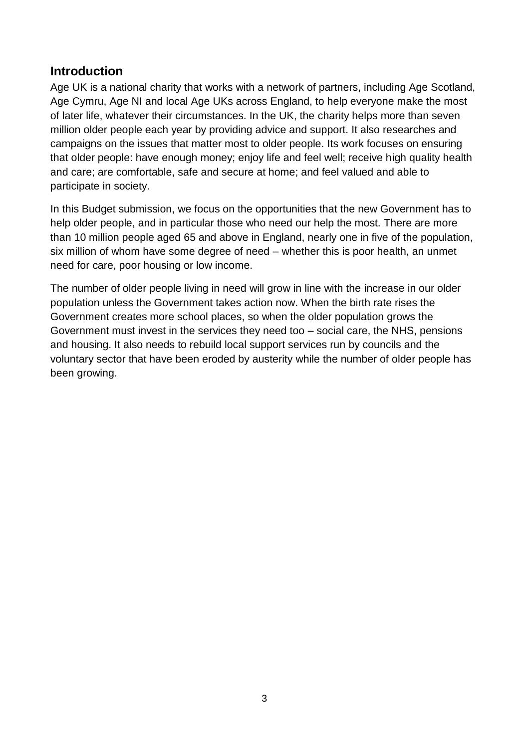## **Introduction**

Age UK is a national charity that works with a network of partners, including Age Scotland, Age Cymru, Age NI and local Age UKs across England, to help everyone make the most of later life, whatever their circumstances. In the UK, the charity helps more than seven million older people each year by providing advice and support. It also researches and campaigns on the issues that matter most to older people. Its work focuses on ensuring that older people: have enough money; enjoy life and feel well; receive high quality health and care; are comfortable, safe and secure at home; and feel valued and able to participate in society.

In this Budget submission, we focus on the opportunities that the new Government has to help older people, and in particular those who need our help the most. There are more than 10 million people aged 65 and above in England, nearly one in five of the population, six million of whom have some degree of need – whether this is poor health, an unmet need for care, poor housing or low income.

The number of older people living in need will grow in line with the increase in our older population unless the Government takes action now. When the birth rate rises the Government creates more school places, so when the older population grows the Government must invest in the services they need too – social care, the NHS, pensions and housing. It also needs to rebuild local support services run by councils and the voluntary sector that have been eroded by austerity while the number of older people has been growing.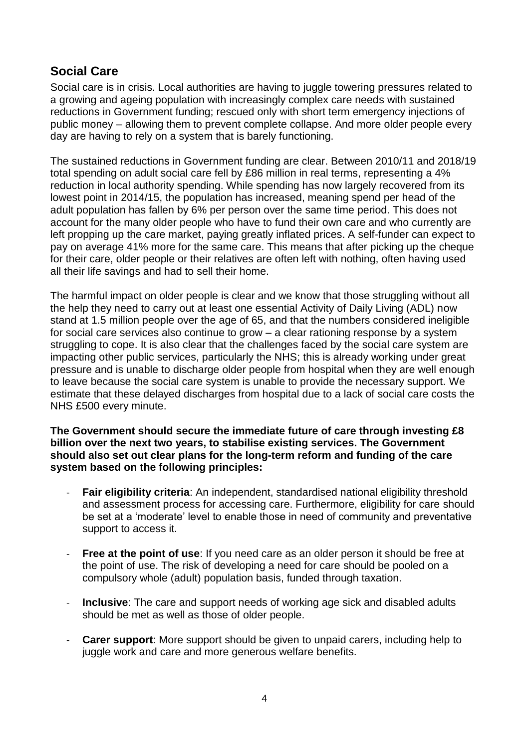# **Social Care**

Social care is in crisis. Local authorities are having to juggle towering pressures related to a growing and ageing population with increasingly complex care needs with sustained reductions in Government funding; rescued only with short term emergency injections of public money – allowing them to prevent complete collapse. And more older people every day are having to rely on a system that is barely functioning.

The sustained reductions in Government funding are clear. Between 2010/11 and 2018/19 total spending on adult social care fell by £86 million in real terms, representing a 4% reduction in local authority spending. While spending has now largely recovered from its lowest point in 2014/15, the population has increased, meaning spend per head of the adult population has fallen by 6% per person over the same time period. This does not account for the many older people who have to fund their own care and who currently are left propping up the care market, paying greatly inflated prices. A self-funder can expect to pay on average 41% more for the same care. This means that after picking up the cheque for their care, older people or their relatives are often left with nothing, often having used all their life savings and had to sell their home.

The harmful impact on older people is clear and we know that those struggling without all the help they need to carry out at least one essential Activity of Daily Living (ADL) now stand at 1.5 million people over the age of 65, and that the numbers considered ineligible for social care services also continue to grow – a clear rationing response by a system struggling to cope. It is also clear that the challenges faced by the social care system are impacting other public services, particularly the NHS; this is already working under great pressure and is unable to discharge older people from hospital when they are well enough to leave because the social care system is unable to provide the necessary support. We estimate that these delayed discharges from hospital due to a lack of social care costs the NHS £500 every minute.

**The Government should secure the immediate future of care through investing £8 billion over the next two years, to stabilise existing services. The Government should also set out clear plans for the long-term reform and funding of the care system based on the following principles:**

- **Fair eligibility criteria:** An independent, standardised national eligibility threshold and assessment process for accessing care. Furthermore, eligibility for care should be set at a 'moderate' level to enable those in need of community and preventative support to access it.
- **Free at the point of use**: If you need care as an older person it should be free at the point of use. The risk of developing a need for care should be pooled on a compulsory whole (adult) population basis, funded through taxation.
- **Inclusive**: The care and support needs of working age sick and disabled adults should be met as well as those of older people.
- **Carer support**: More support should be given to unpaid carers, including help to juggle work and care and more generous welfare benefits.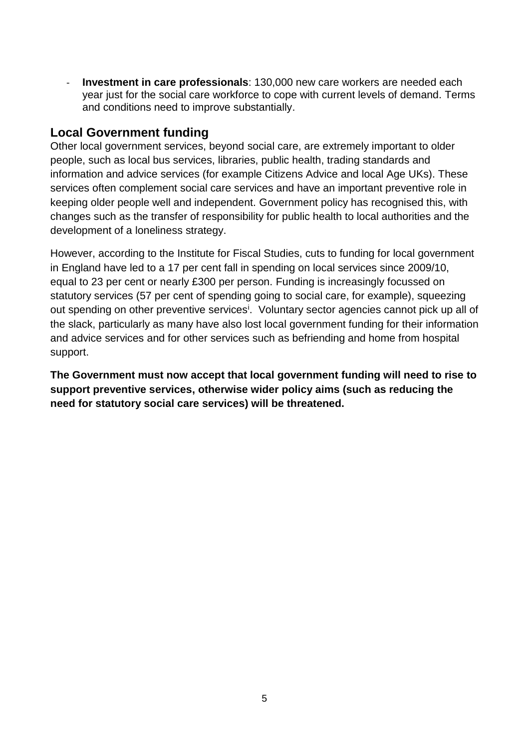- **Investment in care professionals**: 130,000 new care workers are needed each year just for the social care workforce to cope with current levels of demand. Terms and conditions need to improve substantially.

### **Local Government funding**

Other local government services, beyond social care, are extremely important to older people, such as local bus services, libraries, public health, trading standards and information and advice services (for example Citizens Advice and local Age UKs). These services often complement social care services and have an important preventive role in keeping older people well and independent. Government policy has recognised this, with changes such as the transfer of responsibility for public health to local authorities and the development of a loneliness strategy.

However, according to the Institute for Fiscal Studies, cuts to funding for local government in England have led to a 17 per cent fall in spending on local services since 2009/10, equal to 23 per cent or nearly £300 per person. Funding is increasingly focussed on statutory services (57 per cent of spending going to social care, for example), squeezing out spending on other preventive services<sup>i</sup>. Voluntary sector agencies cannot pick up all of the slack, particularly as many have also lost local government funding for their information and advice services and for other services such as befriending and home from hospital support.

**The Government must now accept that local government funding will need to rise to support preventive services, otherwise wider policy aims (such as reducing the need for statutory social care services) will be threatened.**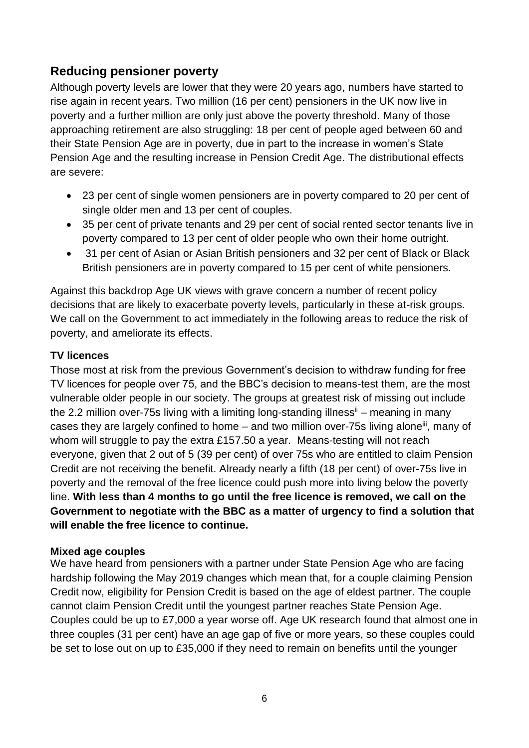# **Reducing pensioner poverty**

Although poverty levels are lower that they were 20 years ago, numbers have started to rise again in recent years. Two million (16 per cent) pensioners in the UK now live in poverty and a further million are only just above the poverty threshold. Many of those approaching retirement are also struggling: 18 per cent of people aged between 60 and their State Pension Age are in poverty, due in part to the increase in women's State Pension Age and the resulting increase in Pension Credit Age. The distributional effects are severe:

- 23 per cent of single women pensioners are in poverty compared to 20 per cent of single older men and 13 per cent of couples.
- 35 per cent of private tenants and 29 per cent of social rented sector tenants live in poverty compared to 13 per cent of older people who own their home outright.
- 31 per cent of Asian or Asian British pensioners and 32 per cent of Black or Black British pensioners are in poverty compared to 15 per cent of white pensioners.

Against this backdrop Age UK views with grave concern a number of recent policy decisions that are likely to exacerbate poverty levels, particularly in these at-risk groups. We call on the Government to act immediately in the following areas to reduce the risk of poverty, and ameliorate its effects.

#### **TV licences**

Those most at risk from the previous Government's decision to withdraw funding for free TV licences for people over 75, and the BBC's decision to means-test them, are the most vulnerable older people in our society. The groups at greatest risk of missing out include the 2.2 million over-75s living with a limiting long-standing illness<sup>ii</sup> – meaning in many cases they are largely confined to home  $-$  and two million over-75s living alone<sup>iii</sup>, many of whom will struggle to pay the extra £157.50 a year. Means-testing will not reach everyone, given that 2 out of 5 (39 per cent) of over 75s who are entitled to claim Pension Credit are not receiving the benefit. Already nearly a fifth (18 per cent) of over-75s live in poverty and the removal of the free licence could push more into living below the poverty line. **With less than 4 months to go until the free licence is removed, we call on the Government to negotiate with the BBC as a matter of urgency to find a solution that will enable the free licence to continue.**

#### **Mixed age couples**

We have heard from pensioners with a partner under State Pension Age who are facing hardship following the May 2019 changes which mean that, for a couple claiming Pension Credit now, eligibility for Pension Credit is based on the age of eldest partner. The couple cannot claim Pension Credit until the youngest partner reaches State Pension Age. Couples could be up to £7,000 a year worse off. Age UK research found that almost one in three couples (31 per cent) have an age gap of five or more years, so these couples could be set to lose out on up to £35,000 if they need to remain on benefits until the younger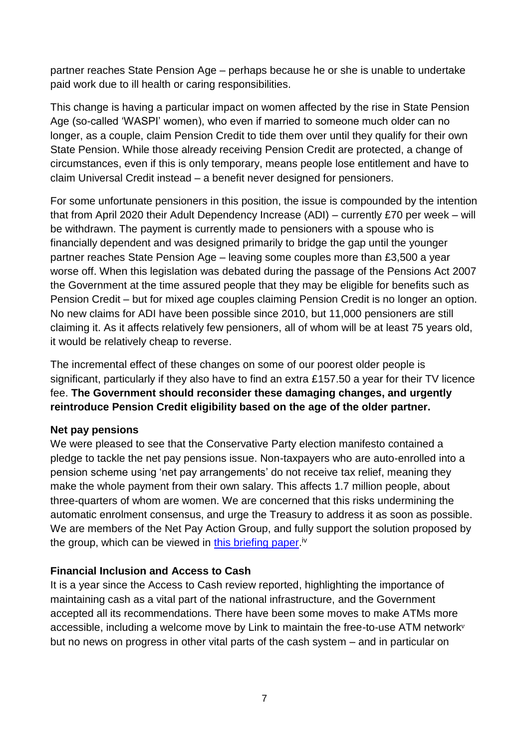partner reaches State Pension Age – perhaps because he or she is unable to undertake paid work due to ill health or caring responsibilities.

This change is having a particular impact on women affected by the rise in State Pension Age (so-called 'WASPI' women), who even if married to someone much older can no longer, as a couple, claim Pension Credit to tide them over until they qualify for their own State Pension. While those already receiving Pension Credit are protected, a change of circumstances, even if this is only temporary, means people lose entitlement and have to claim Universal Credit instead – a benefit never designed for pensioners.

For some unfortunate pensioners in this position, the issue is compounded by the intention that from April 2020 their Adult Dependency Increase (ADI) – currently £70 per week – will be withdrawn. The payment is currently made to pensioners with a spouse who is financially dependent and was designed primarily to bridge the gap until the younger partner reaches State Pension Age – leaving some couples more than £3,500 a year worse off. When this legislation was debated during the passage of the Pensions Act 2007 the Government at the time assured people that they may be eligible for benefits such as Pension Credit – but for mixed age couples claiming Pension Credit is no longer an option. No new claims for ADI have been possible since 2010, but 11,000 pensioners are still claiming it. As it affects relatively few pensioners, all of whom will be at least 75 years old, it would be relatively cheap to reverse.

The incremental effect of these changes on some of our poorest older people is significant, particularly if they also have to find an extra £157.50 a year for their TV licence fee. **The Government should reconsider these damaging changes, and urgently reintroduce Pension Credit eligibility based on the age of the older partner.**

#### **Net pay pensions**

We were pleased to see that the Conservative Party election manifesto contained a pledge to tackle the net pay pensions issue. Non-taxpayers who are auto-enrolled into a pension scheme using 'net pay arrangements' do not receive tax relief, meaning they make the whole payment from their own salary. This affects 1.7 million people, about three-quarters of whom are women. We are concerned that this risks undermining the automatic enrolment consensus, and urge the Treasury to address it as soon as possible. We are members of the Net Pay Action Group, and fully support the solution proposed by the group, which can be viewed in <u>this briefing paper</u>.<sup>iv</sup>

#### **Financial Inclusion and Access to Cash**

It is a year since the Access to Cash review reported, highlighting the importance of maintaining cash as a vital part of the national infrastructure, and the Government accepted all its recommendations. There have been some moves to make ATMs more accessible, including a welcome move by Link to maintain the free-to-use ATM network<sup>v</sup> but no news on progress in other vital parts of the cash system – and in particular on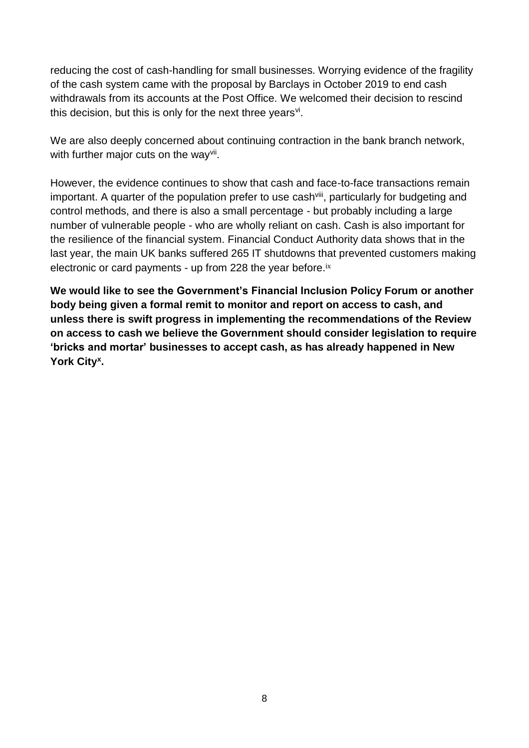reducing the cost of cash-handling for small businesses. Worrying evidence of the fragility of the cash system came with the proposal by Barclays in October 2019 to end cash withdrawals from its accounts at the Post Office. We welcomed their decision to rescind this decision, but this is only for the next three years<sup>vi</sup>.

We are also deeply concerned about continuing contraction in the bank branch network, with further major cuts on the way<sup>vii</sup>.

However, the evidence continues to show that cash and face-to-face transactions remain important. A quarter of the population prefer to use cash<sup>viii</sup>, particularly for budgeting and control methods, and there is also a small percentage - but probably including a large number of vulnerable people - who are wholly reliant on cash. Cash is also important for the resilience of the financial system. Financial Conduct Authority data shows that in the last year, the main UK banks suffered 265 IT shutdowns that prevented customers making electronic or card payments - up from 228 the year before.ix

**We would like to see the Government's Financial Inclusion Policy Forum or another body being given a formal remit to monitor and report on access to cash, and unless there is swift progress in implementing the recommendations of the Review on access to cash we believe the Government should consider legislation to require 'bricks and mortar' businesses to accept cash, as has already happened in New York City<sup>x</sup> .**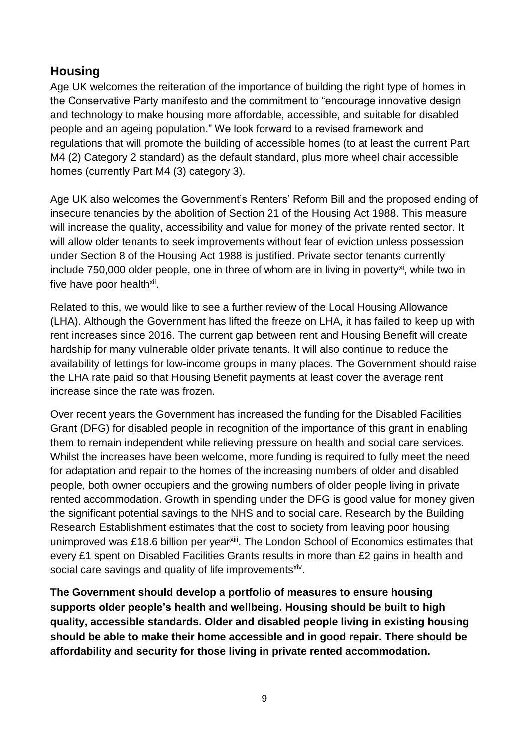## **Housing**

Age UK welcomes the reiteration of the importance of building the right type of homes in the Conservative Party manifesto and the commitment to "encourage innovative design and technology to make housing more affordable, accessible, and suitable for disabled people and an ageing population." We look forward to a revised framework and regulations that will promote the building of accessible homes (to at least the current Part M4 (2) Category 2 standard) as the default standard, plus more wheel chair accessible homes (currently Part M4 (3) category 3).

Age UK also welcomes the Government's Renters' Reform Bill and the proposed ending of insecure tenancies by the abolition of Section 21 of the Housing Act 1988. This measure will increase the quality, accessibility and value for money of the private rented sector. It will allow older tenants to seek improvements without fear of eviction unless possession under Section 8 of the Housing Act 1988 is justified. Private sector tenants currently include  $750,000$  older people, one in three of whom are in living in poverty<sup>xi</sup>, while two in five have poor health<sup>xii</sup>.

Related to this, we would like to see a further review of the Local Housing Allowance (LHA). Although the Government has lifted the freeze on LHA, it has failed to keep up with rent increases since 2016. The current gap between rent and Housing Benefit will create hardship for many vulnerable older private tenants. It will also continue to reduce the availability of lettings for low-income groups in many places. The Government should raise the LHA rate paid so that Housing Benefit payments at least cover the average rent increase since the rate was frozen.

Over recent years the Government has increased the funding for the Disabled Facilities Grant (DFG) for disabled people in recognition of the importance of this grant in enabling them to remain independent while relieving pressure on health and social care services. Whilst the increases have been welcome, more funding is required to fully meet the need for adaptation and repair to the homes of the increasing numbers of older and disabled people, both owner occupiers and the growing numbers of older people living in private rented accommodation. Growth in spending under the DFG is good value for money given the significant potential savings to the NHS and to social care. Research by the Building Research Establishment estimates that the cost to society from leaving poor housing unimproved was £18.6 billion per year<sup>xiii</sup>. The London School of Economics estimates that every £1 spent on Disabled Facilities Grants results in more than £2 gains in health and social care savings and quality of life improvements<sup>xiv</sup>.

**The Government should develop a portfolio of measures to ensure housing supports older people's health and wellbeing. Housing should be built to high quality, accessible standards. Older and disabled people living in existing housing should be able to make their home accessible and in good repair. There should be affordability and security for those living in private rented accommodation.**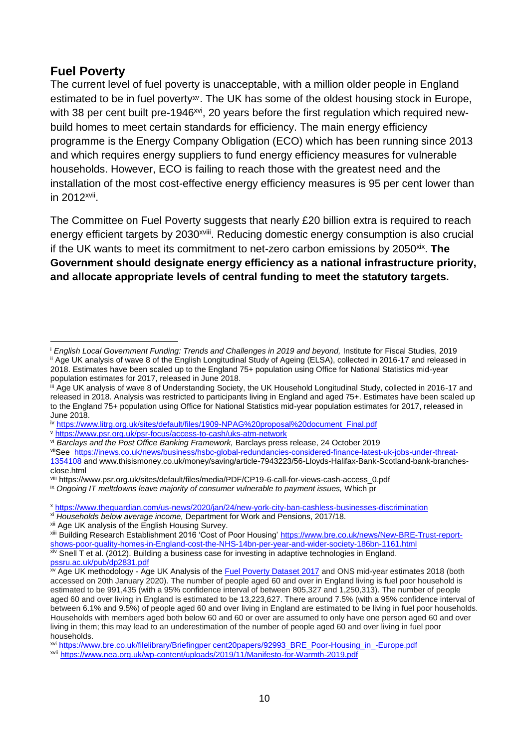## **Fuel Poverty**

The current level of fuel poverty is unacceptable, with a million older people in England estimated to be in fuel poverty<sup>xv</sup>. The UK has some of the oldest housing stock in Europe, with 38 per cent built pre-1946<sup>xvi</sup>, 20 years before the first regulation which required newbuild homes to meet certain standards for efficiency. The main energy efficiency programme is the Energy Company Obligation (ECO) which has been running since 2013 and which requires energy suppliers to fund energy efficiency measures for vulnerable households. However, ECO is failing to reach those with the greatest need and the installation of the most cost-effective energy efficiency measures is 95 per cent lower than in 2012<sup>xvii</sup>.

The Committee on Fuel Poverty suggests that nearly £20 billion extra is required to reach energy efficient targets by 2030<sup>xviii</sup>. Reducing domestic energy consumption is also crucial if the UK wants to meet its commitment to net-zero carbon emissions by 2050<sup>xix</sup>. The **Government should designate energy efficiency as a national infrastructure priority, and allocate appropriate levels of central funding to meet the statutory targets.**

<sup>v</sup> <https://www.psr.org.uk/psr-focus/access-to-cash/uks-atm-network>

viiSee [https://inews.co.uk/news/business/hsbc-global-redundancies-considered-finance-latest-uk-jobs-under-threat-](https://inews.co.uk/news/business/hsbc-global-redundancies-considered-finance-latest-uk-jobs-under-threat-1354108)[1354108](https://inews.co.uk/news/business/hsbc-global-redundancies-considered-finance-latest-uk-jobs-under-threat-1354108) and www.thisismoney.co.uk/money/saving/article-7943223/56-Lloyds-Halifax-Bank-Scotland-bank-branchesclose.html

xiv Snell T et al. (2012). Building a business case for investing in adaptive technologies in England. [pssru.ac.uk/pub/dp2831.pdf](https://protect-eu.mimecast.com/s/xJK4CZ4G3T7PyBzFjNDTj)

<sup>i</sup> *English Local Government Funding: Trends and Challenges in 2019 and beyond,* Institute for Fiscal Studies, 2019 ii Age UK analysis of wave 8 of the English Longitudinal Study of Ageing (ELSA), collected in 2016-17 and released in 2018. Estimates have been scaled up to the England 75+ population using Office for National Statistics mid-year  $\overline{a}$ 

population estimates for 2017, released in June 2018.

iii Age UK analysis of wave 8 of Understanding Society, the UK Household Longitudinal Study, collected in 2016-17 and released in 2018. Analysis was restricted to participants living in England and aged 75+. Estimates have been scaled up to the England 75+ population using Office for National Statistics mid-year population estimates for 2017, released in June 2018.

iv [https://www.litrg.org.uk/sites/default/files/1909-NPAG%20proposal%20document\\_Final.pdf](https://www.litrg.org.uk/sites/default/files/1909-NPAG%20proposal%20document_Final.pdf)

vi *Barclays and the Post Office Banking Framework,* Barclays press release, 24 October 2019

viii https://www.psr.org.uk/sites/default/files/media/PDF/CP19-6-call-for-views-cash-access\_0.pdf

ix *Ongoing IT meltdowns leave majority of consumer vulnerable to payment issues,* Which pr

<sup>x</sup> <https://www.theguardian.com/us-news/2020/jan/24/new-york-city-ban-cashless-businesses-discrimination>

xi *Households below average income,* Department for Work and Pensions, 2017/18.

xii Age UK analysis of the English Housing Survey.

xiii Building Research Establishment 2016 'Cost of Poor Housing' [https://www.bre.co.uk/news/New-BRE-Trust-report](https://www.bre.co.uk/news/New-BRE-Trust-report-shows-poor-quality-homes-in-England-cost-the-NHS-14bn-per-year-and-wider-society-186bn-1161.html)[shows-poor-quality-homes-in-England-cost-the-NHS-14bn-per-year-and-wider-society-186bn-1161.html](https://www.bre.co.uk/news/New-BRE-Trust-report-shows-poor-quality-homes-in-England-cost-the-NHS-14bn-per-year-and-wider-society-186bn-1161.html)

<sup>&</sup>lt;sup>xv</sup> Age UK methodology - Age UK Analysis of the **Fuel Poverty Dataset 2017** and ONS mid-year estimates 2018 (both accessed on 20th January 2020). The number of people aged 60 and over in England living is fuel poor household is estimated to be 991,435 (with a 95% confidence interval of between 805,327 and 1,250,313). The number of people aged 60 and over living in England is estimated to be 13,223,627. There around 7.5% (with a 95% confidence interval of between 6.1% and 9.5%) of people aged 60 and over living in England are estimated to be living in fuel poor households. Households with members aged both below 60 and 60 or over are assumed to only have one person aged 60 and over living in them; this may lead to an underestimation of the number of people aged 60 and over living in fuel poor households.

xvi [https://www.bre.co.uk/filelibrary/Briefingper cent20papers/92993\\_BRE\\_Poor-Housing\\_in\\_-Europe.pdf](https://www.bre.co.uk/filelibrary/Briefing%20papers/92993_BRE_Poor-Housing_in_-Europe.pdf)

xvii <https://www.nea.org.uk/wp-content/uploads/2019/11/Manifesto-for-Warmth-2019.pdf>